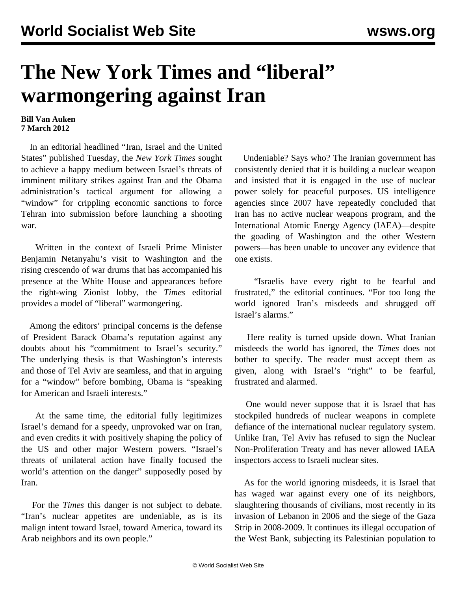## **The New York Times and "liberal" warmongering against Iran**

## **Bill Van Auken 7 March 2012**

 In an editorial headlined "Iran, Israel and the United States" published Tuesday, the *New York Times* sought to achieve a happy medium between Israel's threats of imminent military strikes against Iran and the Obama administration's tactical argument for allowing a "window" for crippling economic sanctions to force Tehran into submission before launching a shooting war.

 Written in the context of Israeli Prime Minister Benjamin Netanyahu's visit to Washington and the rising crescendo of war drums that has accompanied his presence at the White House and appearances before the right-wing Zionist lobby, the *Times* editorial provides a model of "liberal" warmongering.

 Among the editors' principal concerns is the defense of President Barack Obama's reputation against any doubts about his "commitment to Israel's security." The underlying thesis is that Washington's interests and those of Tel Aviv are seamless, and that in arguing for a "window" before bombing, Obama is "speaking for American and Israeli interests."

 At the same time, the editorial fully legitimizes Israel's demand for a speedy, unprovoked war on Iran, and even credits it with positively shaping the policy of the US and other major Western powers. "Israel's threats of unilateral action have finally focused the world's attention on the danger" supposedly posed by Iran.

 For the *Times* this danger is not subject to debate. "Iran's nuclear appetites are undeniable, as is its malign intent toward Israel, toward America, toward its Arab neighbors and its own people."

 Undeniable? Says who? The Iranian government has consistently denied that it is building a nuclear weapon and insisted that it is engaged in the use of nuclear power solely for peaceful purposes. US intelligence agencies since 2007 have repeatedly concluded that Iran has no active nuclear weapons program, and the International Atomic Energy Agency (IAEA)—despite the goading of Washington and the other Western powers—has been unable to uncover any evidence that one exists.

 "Israelis have every right to be fearful and frustrated," the editorial continues. "For too long the world ignored Iran's misdeeds and shrugged off Israel's alarms."

 Here reality is turned upside down. What Iranian misdeeds the world has ignored, the *Times* does not bother to specify. The reader must accept them as given, along with Israel's "right" to be fearful, frustrated and alarmed.

 One would never suppose that it is Israel that has stockpiled hundreds of nuclear weapons in complete defiance of the international nuclear regulatory system. Unlike Iran, Tel Aviv has refused to sign the Nuclear Non-Proliferation Treaty and has never allowed IAEA inspectors access to Israeli nuclear sites.

 As for the world ignoring misdeeds, it is Israel that has waged war against every one of its neighbors, slaughtering thousands of civilians, most recently in its invasion of Lebanon in 2006 and the siege of the Gaza Strip in 2008-2009. It continues its illegal occupation of the West Bank, subjecting its Palestinian population to